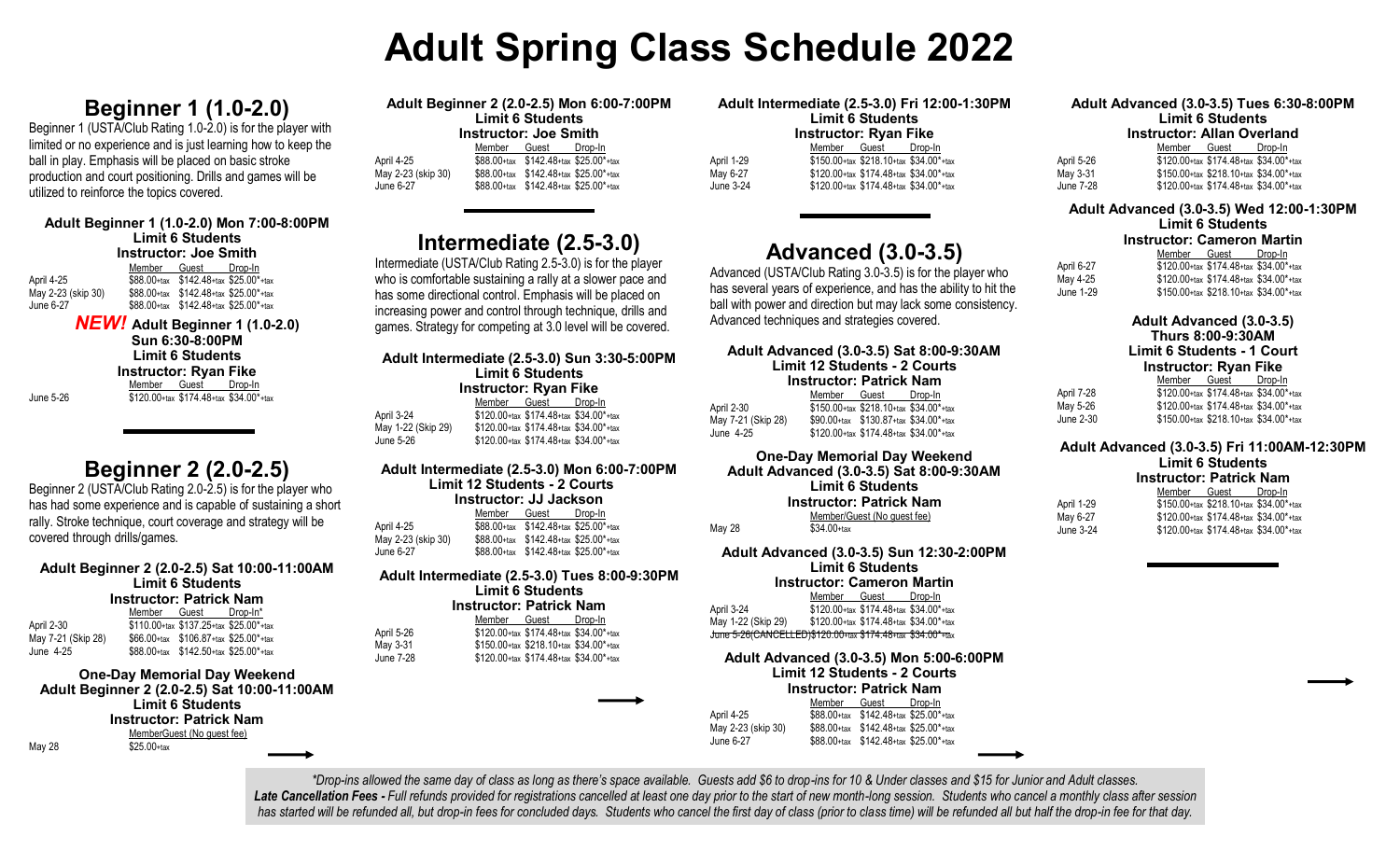# **Adult Spring Class Schedule 2022**

# **Beginner 1 (1.0-2.0)**

Beginner 1 (USTA/Club Rating 1.0-2.0) is for the player with limited or no experience and is just learning how to keep the ball in play. Emphasis will be placed on basic stroke production and court positioning. Drills and games will be utilized to reinforce the topics covered.

#### **Adult Beginner 1 (1.0-2.0) Mon 7:00-8:00PM Limit 6 Students Instructor: Joe Smith** m-ln

|                    | Member Guest Drop-In                        |  |
|--------------------|---------------------------------------------|--|
| April 4-25         | $$88.00+$ tax $$142.48+$ tax $$25.00*$ +tax |  |
| May 2-23 (skip 30) | $$88.00+$ tax $$142.48+$ tax $$25.00*$ +tax |  |
| June 6-27          | \$88.00+tax \$142.48+tax \$25.00*+tax       |  |
|                    |                                             |  |

*NEW!* **Adult Beginner 1 (1.0-2.0) Sun 6:30-8:00PM Limit 6 Students Instructor: Ryan Fike** Member Guest Drop-In June 5-26 \$120.00+tax \$174.48+tax \$34.00\*+tax

# **Beginner 2 (2.0-2.5)**

Beginner 2 (USTA/Club Rating 2.0-2.5) is for the player who has had some experience and is capable of sustaining a short rally. Stroke technique, court coverage and strategy will be covered through drills/games.

#### **Adult Beginner 2 (2.0-2.5) Sat 10:00-11:00AM Limit 6 Students Instructor: Patrick Nam**

| $11311$ uclu $1.1$ ati Ich Italii |              |                                        |          |
|-----------------------------------|--------------|----------------------------------------|----------|
|                                   | Member Guest |                                        | Drop-In* |
| April 2-30                        |              | \$110.00+tax \$137.25+tax \$25.00*+tax |          |
| May 7-21 (Skip 28)                |              | \$66.00+tax \$106.87+tax \$25.00*+tax  |          |
| June 4-25                         |              | \$88.00+tax \$142.50+tax \$25.00*+tax  |          |
|                                   |              |                                        |          |

#### **One-Day Memorial Day Weekend Adult Beginner 2 (2.0-2.5) Sat 10:00-11:00AM Limit 6 Students Instructor: Patrick Nam** MemberGuest (No guest fee)

May 28 \$25.00+tax

| Adult Beginner 2 (2.0-2.5) Mon 6:00-7:00PM |              |                                             |         |  |  |
|--------------------------------------------|--------------|---------------------------------------------|---------|--|--|
| <b>Limit 6 Students</b>                    |              |                                             |         |  |  |
| Instructor: Joe Smith                      |              |                                             |         |  |  |
|                                            | Member Guest |                                             | Drop-In |  |  |
| April 4-25                                 |              | $$88.00+$ tax $$142.48+$ tax $$25.00*$ +tax |         |  |  |
| May 2-23 (skip 30)                         |              | $$88.00+$ tax $$142.48+$ tax $$25.00*$ +tax |         |  |  |
| June 6-27                                  |              | \$88.00+tax \$142.48+tax \$25.00*+tax       |         |  |  |

# **Intermediate (2.5-3.0)**

Intermediate (USTA/Club Rating 2.5-3.0) is for the player who is comfortable sustaining a rally at a slower pace and has some directional control. Emphasis will be placed on increasing power and control through technique, drills and games. Strategy for competing at 3.0 level will be covered.

| Adult Intermediate (2.5-3.0) Sun 3:30-5:00PM<br><b>Limit 6 Students</b><br><b>Instructor: Ryan Fike</b> |  |                                        |  |  |  |
|---------------------------------------------------------------------------------------------------------|--|----------------------------------------|--|--|--|
|                                                                                                         |  | Member Guest Drop-In                   |  |  |  |
| April 3-24                                                                                              |  | \$120.00+tax \$174.48+tax \$34.00*+tax |  |  |  |
| May 1-22 (Skip 29)                                                                                      |  | \$120.00+tax \$174.48+tax \$34.00*+tax |  |  |  |
| June 5-26                                                                                               |  | \$120.00+tax \$174.48+tax \$34.00*+tax |  |  |  |
|                                                                                                         |  |                                        |  |  |  |

### **Adult Intermediate (2.5-3.0) Mon 6:00-7:00PM Limit 12 Students - 2 Courts**

| Instructor: JJ Jackson |  |                                             |  |  |  |
|------------------------|--|---------------------------------------------|--|--|--|
|                        |  | Member Guest Drop-In                        |  |  |  |
| April 4-25             |  | $$88.00+$ tax $$142.48+$ tax $$25.00*$ +tax |  |  |  |
| May 2-23 (skip 30)     |  | $$88.00+$ tax $$142.48+$ tax $$25.00*$ +tax |  |  |  |
| June 6-27              |  | \$88.00+tax \$142.48+tax \$25.00*+tax       |  |  |  |

#### **Adult Intermediate (2.5-3.0) Tues 8:00-9:30PM Limit 6 Students**

#### **Instructor: Patrick Nam**

|                                        | Member Guest Drop-In                   |  |
|----------------------------------------|----------------------------------------|--|
| \$120.00+tax \$174.48+tax \$34.00*+tax |                                        |  |
|                                        | \$150.00+tax \$218.10+tax \$34.00*+tax |  |
|                                        | \$120.00+tax \$174.48+tax \$34.00*+tax |  |
|                                        |                                        |  |

April 5-26 May 3-31 June 7-28

| Adult Intermediate (2.5-3.0) Fri 12:00-1:30PM |                                        |                                        |  |  |  |
|-----------------------------------------------|----------------------------------------|----------------------------------------|--|--|--|
| <b>Limit 6 Students</b>                       |                                        |                                        |  |  |  |
| Instructor: Ryan Fike                         |                                        |                                        |  |  |  |
|                                               |                                        | Member Guest Drop-In                   |  |  |  |
| April 1-29                                    | \$150.00+tax \$218.10+tax \$34.00*+tax |                                        |  |  |  |
| May 6-27                                      |                                        | \$120.00+tax \$174.48+tax \$34.00*+tax |  |  |  |
| June 3-24                                     |                                        | \$120.00+tax \$174.48+tax \$34.00*+tax |  |  |  |

# **Advanced (3.0-3.5)**

Advanced (USTA/Club Rating 3.0-3.5) is for the player who has several years of experience, and has the ability to hit the ball with power and direction but may lack some consistency. Advanced techniques and strategies covered.

#### **Adult Advanced (3.0-3.5) Sat 8:00-9:30AM Limit 12 Students - 2 Courts Instructor: Patrick Nam**<br>Member Guest Drop-In Member Guest

| April 2-30         | \$150.00+tax \$218.10+tax \$34.00*+tax      |  |
|--------------------|---------------------------------------------|--|
| May 7-21 (Skip 28) | $$90.00+$ tax $$130.87+$ tax $$34.00*$ +tax |  |
| June 4-25          | \$120.00+tax \$174.48+tax \$34.00*+tax      |  |
|                    |                                             |  |

#### **One-Day Memorial Day Weekend Adult Advanced (3.0-3.5) Sat 8:00-9:30AM Limit 6 Students Instructor: Patrick Nam** Member/Guest (No guest fee) May 28 \$34.00+tax

**Adult Advanced (3.0-3.5) Sun 12:30-2:00PM Limit 6 Students**

**Instructor: Cameron Martin**

Member Guest Drop-In April 3-24 \$120.00+tax \$174.48+tax \$34.00\*+tax May 1-22 (Skip 29) \$120.00+tax \$174.48+tax \$34.00\*+tax June 5-26(CANCELLED)\$120.00+tax \$174.48+tax \$34.00\*+tax

#### **Adult Advanced (3.0-3.5) Mon 5:00-6:00PM Limit 12 Students - 2 Courts Instructor: Patrick Nam**

|                    | Member       | Guest                                                                         | Drop-In |
|--------------------|--------------|-------------------------------------------------------------------------------|---------|
| April 4-25         | $$88.00+tax$ | \$142.48+tax \$25.00*+tax                                                     |         |
| May 2-23 (skip 30) |              | $$88.00$ <sup>+tax</sup> $$142.48$ <sup>+tax</sup> $$25.00$ <sup>*</sup> +tax |         |
| June 6-27          |              | \$88.00+tax \$142.48+tax \$25.00*+tax                                         |         |

#### **Adult Advanced (3.0-3.5) Tues 6:30-8:00PM Limit 6 Students Instructor: Allan Overland**

|            | Member                                 | Guest                                        | Drop-In |
|------------|----------------------------------------|----------------------------------------------|---------|
| April 5-26 | \$120.00+tax \$174.48+tax \$34.00*+tax |                                              |         |
| May 3-31   |                                        | $$150.00+$ tax $$218.10+$ tax $$34.00*$ +tax |         |
| June 7-28  |                                        | \$120.00+tax \$174.48+tax \$34.00*+tax       |         |

## **Adult Advanced (3.0-3.5) Wed 12:00-1:30PM**

**Limit 6 Students**

### **Instructor: Cameron Martin**

|            | Member | Guest                                  | Drop-In |
|------------|--------|----------------------------------------|---------|
| April 6-27 |        | \$120.00+tax \$174.48+tax \$34.00*+tax |         |
| Mav 4-25   |        | \$120.00+tax \$174.48+tax \$34.00*+tax |         |
| June 1-29  |        | \$150.00+tax \$218.10+tax \$34.00*+tax |         |

|            | Adult Advanced (3.0-3.5)<br><b>Thurs 8:00-9:30AM</b><br><b>Limit 6 Students - 1 Court</b><br><b>Instructor: Ryan Fike</b> |  |  |  |  |
|------------|---------------------------------------------------------------------------------------------------------------------------|--|--|--|--|
|            | Member Guest Drop-In                                                                                                      |  |  |  |  |
| April 7-28 | \$120.00+tax \$174.48+tax \$34.00*+tax                                                                                    |  |  |  |  |
| May 5-26   | \$120.00+tax \$174.48+tax \$34.00*+tax                                                                                    |  |  |  |  |
| June 2-30  | $$150.00+$ tax $$218.10+$ tax $$34.00*$ +tax                                                                              |  |  |  |  |

April 1-29 May 6-27 June 3-24

### **Adult Advanced (3.0-3.5) Fri 11:00AM-12:30PM Limit 6 Students**

| <b>Instructor: Patrick Nam</b> |                                                                        |  |  |  |  |
|--------------------------------|------------------------------------------------------------------------|--|--|--|--|
|                                | Member Guest Drop-In                                                   |  |  |  |  |
|                                | \$150.00+tax \$218.10+tax \$34.00*+tax                                 |  |  |  |  |
|                                | $$120 \, M_{\text{max}}$ \$174 $48_{\text{max}}$ \$34 $M_{\text{max}}$ |  |  |  |  |

| <b>JILO.UU+LAX JIII+.40+LAX JJ4.UU +LAX</b>  |  |
|----------------------------------------------|--|
| $$120.00+$ tax $$174.48+$ tax $$34.00*$ +tax |  |

*\*Drop-ins allowed the same day of class as long as there's space available. Guests add \$6 to drop-ins for 10 & Under classes and \$15 for Junior and Adult classes.* Late Cancellation Fees - Full refunds provided for registrations cancelled at least one day prior to the start of new month-long session. Students who cancel a monthly class after session *has started will be refunded all, but drop-in fees for concluded days. Students who cancel the first day of class (prior to class time) will be refunded all but half the drop-in fee for that day.*